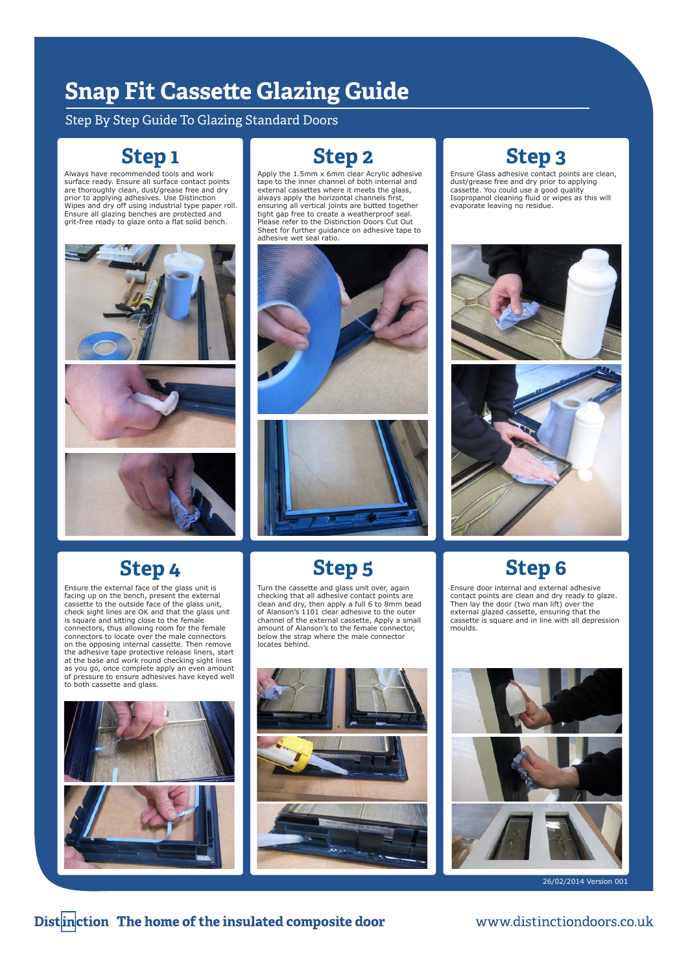## **Snap Fit Casse!e Glazing Guide**

#### Step By Step Guide To Glazing Standard Doors

#### **Step 1**

Always have recommended tools and work surface ready. Ensure all surface contact points are thoroughly clean, dust/grease free and dry prior to applying adhesives. Use Distinction Wipes and dry off using industrial type paper roll. Ensure all glazing benches are protected and grit-free ready to glaze onto a flat solid bench.





#### **Step 4**

Ensure the external face of the glass unit is facing up on the bench, present the external cassette to the outside face of the glass unit, check sight lines are OK and that the glass unit is square and sitting close to the female connectors, thus allowing room for the female connectors to locate over the male connectors on the opposing internal cassette. Then remove the adhesive tape protective release liners, start at the base and work round checking sight lines as you go, once complete apply an even amount of pressure to ensure adhesives have keyed well to both cassette and glass.



**Step 2**

Apply the 1.5mm x 6mm clear Acrylic adhesive tape to the inner channel of both internal and external cassettes where it meets the glass, always apply the horizontal channels first, ensuring all vertical joints are butted together tight gap free to create a weatherproof seal. Please refer to the Distinction Doors Cut Out Sheet for further guidance on adhesive tape to adhesive wet seal ratio.





**Step 3**

Ensure Glass adhesive contact points are clean, dust/grease free and dry prior to applying cassette. You could use a good quality Isopropanol cleaning fluid or wipes as this will evaporate leaving no residue.





Ensure door internal and external adhesive contact points are clean and dry ready to glaze. Then lay the door (two man lift) over the external glazed cassette, ensuring that the cassette is square and in line with all depression

**Step 5 Step 6**

Turn the cassette and glass unit over, again checking that all adhesive contact points are clean and dry, then apply a full 6 to 8mm bead of Alanson's 1101 clear adhesive to the outer channel of the external cassette, Apply a small amount of Alanson's to the female connector, below the strap where the male connector locates behind.







26/02/2014 Version 001

#### Distinction The home of the insulated composite door

www.distinctiondoors.co.uk